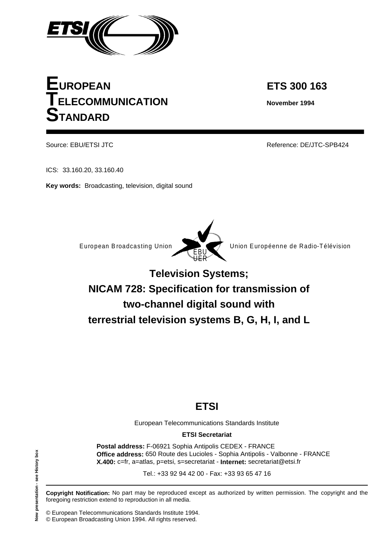

# **EUROPEAN ETS 300 163 TELECOMMUNICATION November 1994 STANDARD**

ICS: 33.160.20, 33.160.40

**Key words:** Broadcasting, television, digital sound



European Broadcasting Union **Description** Union Européenne de Radio-Télévision

# **Television Systems; NICAM 728: Specification for transmission of two-channel digital sound with terrestrial television systems B, G, H, I, and L**

## **ETSI**

European Telecommunications Standards Institute

## **ETSI Secretariat**

**Postal address:** F-06921 Sophia Antipolis CEDEX - FRANCE **Office address:** 650 Route des Lucioles - Sophia Antipolis - Valbonne - FRANCE **X.400:** c=fr, a=atlas, p=etsi, s=secretariat - **Internet:** secretariat@etsi.fr

Tel.: +33 92 94 42 00 - Fax: +33 93 65 47 16

**Copyright Notification:** No part may be reproduced except as authorized by written permission. The copyright and the foregoing restriction extend to reproduction in all media.

© European Telecommunications Standards Institute 1994.

© European Broadcasting Union 1994. All rights reserved.

Source: EBU/ETSI JTC **Reference: DE/JTC-SPB424**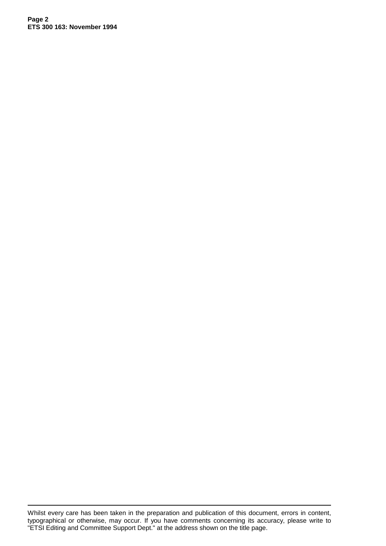**Page 2 ETS 300 163: November 1994**

Whilst every care has been taken in the preparation and publication of this document, errors in content, typographical or otherwise, may occur. If you have comments concerning its accuracy, please write to "ETSI Editing and Committee Support Dept." at the address shown on the title page.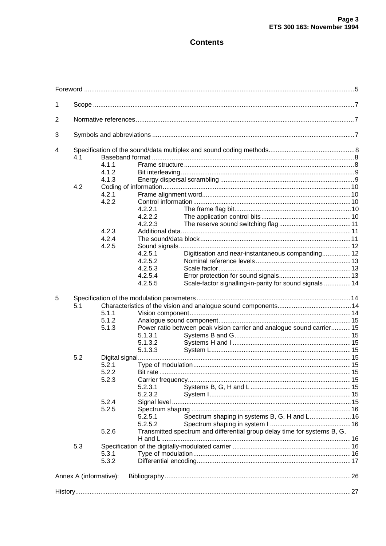## **Contents**

| 1 |                        |       |         |                                                                          |  |
|---|------------------------|-------|---------|--------------------------------------------------------------------------|--|
| 2 |                        |       |         |                                                                          |  |
| 3 |                        |       |         |                                                                          |  |
| 4 |                        |       |         |                                                                          |  |
|   | 4.1                    |       |         |                                                                          |  |
|   |                        | 4.1.1 |         |                                                                          |  |
|   |                        | 4.1.2 |         |                                                                          |  |
|   |                        | 4.1.3 |         |                                                                          |  |
|   | 4.2                    |       |         |                                                                          |  |
|   |                        | 4.2.1 |         |                                                                          |  |
|   |                        | 4.2.2 |         |                                                                          |  |
|   |                        |       | 4.2.2.1 |                                                                          |  |
|   |                        |       | 4.2.2.2 |                                                                          |  |
|   |                        |       | 4.2.2.3 |                                                                          |  |
|   |                        | 4.2.3 |         |                                                                          |  |
|   |                        | 4.2.4 |         |                                                                          |  |
|   |                        | 4.2.5 |         |                                                                          |  |
|   |                        |       | 4.2.5.1 | Digitisation and near-instantaneous companding 12                        |  |
|   |                        |       | 4.2.5.2 |                                                                          |  |
|   |                        |       | 4.2.5.3 |                                                                          |  |
|   |                        |       | 4.2.5.4 |                                                                          |  |
|   |                        |       | 4.2.5.5 | Scale-factor signalling-in-parity for sound signals  14                  |  |
|   |                        |       |         |                                                                          |  |
| 5 |                        |       |         |                                                                          |  |
|   | 5.1                    |       |         |                                                                          |  |
|   |                        | 5.1.1 |         |                                                                          |  |
|   |                        | 5.1.2 |         |                                                                          |  |
|   |                        | 5.1.3 |         | Power ratio between peak vision carrier and analogue sound carrier 15    |  |
|   |                        |       | 5.1.3.1 |                                                                          |  |
|   |                        |       | 5.1.3.2 |                                                                          |  |
|   |                        |       | 5.1.3.3 |                                                                          |  |
|   | 5.2                    |       |         |                                                                          |  |
|   |                        | 5.2.1 |         |                                                                          |  |
|   |                        | 5.2.2 |         |                                                                          |  |
|   |                        | 5.2.3 |         |                                                                          |  |
|   |                        |       | 5.2.3.1 |                                                                          |  |
|   |                        |       | 5.2.3.2 |                                                                          |  |
|   |                        | 5.2.4 |         |                                                                          |  |
|   |                        | 5.2.5 |         |                                                                          |  |
|   |                        |       | 5.2.5.1 |                                                                          |  |
|   |                        |       | 5.2.5.2 |                                                                          |  |
|   |                        | 5.2.6 |         | Transmitted spectrum and differential group delay time for systems B, G, |  |
|   | 5.3                    |       |         |                                                                          |  |
|   |                        | 5.3.1 |         |                                                                          |  |
|   |                        | 5.3.2 |         |                                                                          |  |
|   |                        |       |         |                                                                          |  |
|   | Annex A (informative): |       |         |                                                                          |  |
|   |                        |       |         |                                                                          |  |
|   |                        |       |         |                                                                          |  |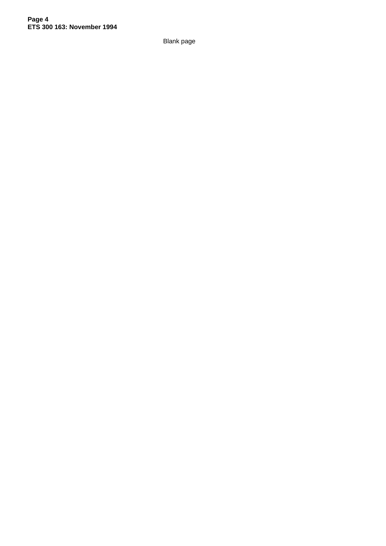Blank page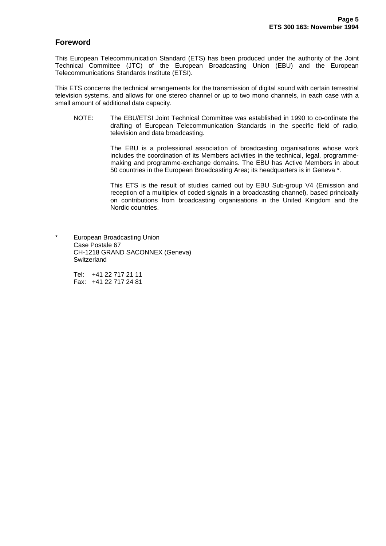## **Foreword**

This European Telecommunication Standard (ETS) has been produced under the authority of the Joint Technical Committee (JTC) of the European Broadcasting Union (EBU) and the European Telecommunications Standards Institute (ETSI).

This ETS concerns the technical arrangements for the transmission of digital sound with certain terrestrial television systems, and allows for one stereo channel or up to two mono channels, in each case with a small amount of additional data capacity.

NOTE: The EBU/ETSI Joint Technical Committee was established in 1990 to co-ordinate the drafting of European Telecommunication Standards in the specific field of radio, television and data broadcasting.

> The EBU is a professional association of broadcasting organisations whose work includes the coordination of its Members activities in the technical, legal, programmemaking and programme-exchange domains. The EBU has Active Members in about 50 countries in the European Broadcasting Area; its headquarters is in Geneva \*.

> This ETS is the result of studies carried out by EBU Sub-group V4 (Emission and reception of a multiplex of coded signals in a broadcasting channel), based principally on contributions from broadcasting organisations in the United Kingdom and the Nordic countries.

**European Broadcasting Union** Case Postale 67 CH-1218 GRAND SACONNEX (Geneva) **Switzerland** 

> Tel: +41 22 717 21 11 Fax: +41 22 717 24 81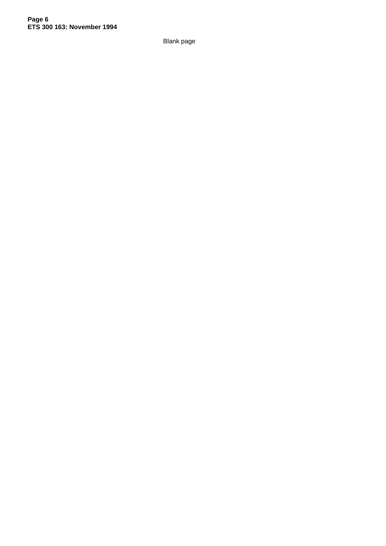Blank page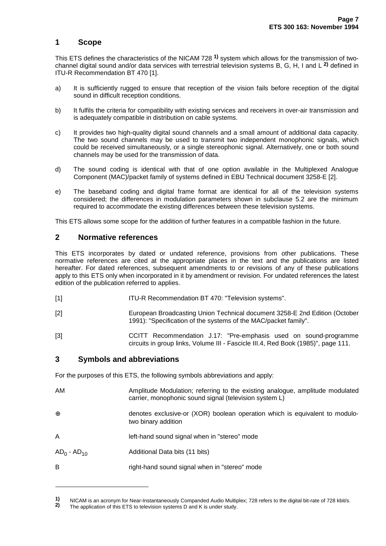## **1 Scope**

This ETS defines the characteristics of the NICAM 728 **1)** system which allows for the transmission of twochannel digital sound and/or data services with terrestrial television systems B, G, H, I and L **2)** defined in ITU-R Recommendation BT 470 [1].

- a) It is sufficiently rugged to ensure that reception of the vision fails before reception of the digital sound in difficult reception conditions.
- b) It fulfils the criteria for compatibility with existing services and receivers in over-air transmission and is adequately compatible in distribution on cable systems.
- c) It provides two high-quality digital sound channels and a small amount of additional data capacity. The two sound channels may be used to transmit two independent monophonic signals, which could be received simultaneously, or a single stereophonic signal. Alternatively, one or both sound channels may be used for the transmission of data.
- d) The sound coding is identical with that of one option available in the Multiplexed Analogue Component (MAC)/packet family of systems defined in EBU Technical document 3258-E [2].
- e) The baseband coding and digital frame format are identical for all of the television systems considered; the differences in modulation parameters shown in subclause 5.2 are the minimum required to accommodate the existing differences between these television systems.

This ETS allows some scope for the addition of further features in a compatible fashion in the future.

## **2 Normative references**

This ETS incorporates by dated or undated reference, provisions from other publications. These normative references are cited at the appropriate places in the text and the publications are listed hereafter. For dated references, subsequent amendments to or revisions of any of these publications apply to this ETS only when incorporated in it by amendment or revision. For undated references the latest edition of the publication referred to applies.

- [1] ITU-R Recommendation BT 470: "Television systems".
- [2] European Broadcasting Union Technical document 3258-E 2nd Edition (October 1991): "Specification of the systems of the MAC/packet family".
- [3] CCITT Recommendation J.17: "Pre-emphasis used on sound-programme circuits in group links, Volume III - Fascicle III.4, Red Book (1985)", page 111.

#### **3 Symbols and abbreviations**

 $\overline{a}$ 

For the purposes of this ETS, the following symbols abbreviations and apply:

| AM               | Amplitude Modulation; referring to the existing analogue, amplitude modulated<br>carrier, monophonic sound signal (television system L) |
|------------------|-----------------------------------------------------------------------------------------------------------------------------------------|
| $\oplus$         | denotes exclusive-or (XOR) boolean operation which is equivalent to modulo-<br>two binary addition                                      |
| A                | left-hand sound signal when in "stereo" mode                                                                                            |
| $AD_0 - AD_{10}$ | Additional Data bits (11 bits)                                                                                                          |
| B                | right-hand sound signal when in "stereo" mode                                                                                           |

**<sup>1)</sup>** NICAM is an acronym for Near-Instantaneously Companded Audio Multiplex; 728 refers to the digital bit-rate of 728 kbit/s. **2)** The application of this ETS to television systems D and K is under study.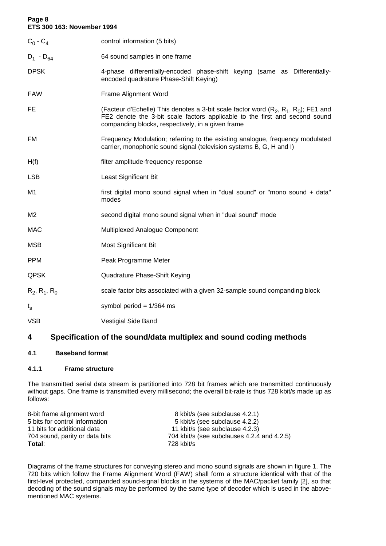| Page 8<br>ETS 300 163: November 1994 |                                                                                                                                                                                                                            |  |  |  |  |  |  |
|--------------------------------------|----------------------------------------------------------------------------------------------------------------------------------------------------------------------------------------------------------------------------|--|--|--|--|--|--|
| $C_0 - C_4$                          | control information (5 bits)                                                                                                                                                                                               |  |  |  |  |  |  |
| $D_1 - D_{64}$                       | 64 sound samples in one frame                                                                                                                                                                                              |  |  |  |  |  |  |
| <b>DPSK</b>                          | 4-phase differentially-encoded phase-shift keying (same as Differentially-<br>encoded quadrature Phase-Shift Keying)                                                                                                       |  |  |  |  |  |  |
| <b>FAW</b>                           | Frame Alignment Word                                                                                                                                                                                                       |  |  |  |  |  |  |
| FE                                   | (Facteur d'Echelle) This denotes a 3-bit scale factor word $(R_2, R_1, R_0)$ ; FE1 and<br>FE2 denote the 3-bit scale factors applicable to the first and second sound<br>companding blocks, respectively, in a given frame |  |  |  |  |  |  |
| FM                                   | Frequency Modulation; referring to the existing analogue, frequency modulated<br>carrier, monophonic sound signal (television systems B, G, H and I)                                                                       |  |  |  |  |  |  |
| H(f)                                 | filter amplitude-frequency response                                                                                                                                                                                        |  |  |  |  |  |  |
| <b>LSB</b>                           | Least Significant Bit                                                                                                                                                                                                      |  |  |  |  |  |  |
| M1                                   | first digital mono sound signal when in "dual sound" or "mono sound + data"<br>modes                                                                                                                                       |  |  |  |  |  |  |
| M2                                   | second digital mono sound signal when in "dual sound" mode                                                                                                                                                                 |  |  |  |  |  |  |
| MAC                                  | Multiplexed Analogue Component                                                                                                                                                                                             |  |  |  |  |  |  |
| <b>MSB</b>                           | <b>Most Significant Bit</b>                                                                                                                                                                                                |  |  |  |  |  |  |
| <b>PPM</b>                           | Peak Programme Meter                                                                                                                                                                                                       |  |  |  |  |  |  |
| <b>QPSK</b>                          | Quadrature Phase-Shift Keying                                                                                                                                                                                              |  |  |  |  |  |  |
| $R_2$ , $R_1$ , $R_0$                | scale factor bits associated with a given 32-sample sound companding block                                                                                                                                                 |  |  |  |  |  |  |
| $t_{\rm s}$                          | symbol period = $1/364$ ms                                                                                                                                                                                                 |  |  |  |  |  |  |
| <b>VSB</b>                           | Vestigial Side Band                                                                                                                                                                                                        |  |  |  |  |  |  |

## **4 Specification of the sound/data multiplex and sound coding methods**

## **4.1 Baseband format**

#### **4.1.1 Frame structure**

The transmitted serial data stream is partitioned into 728 bit frames which are transmitted continuously without gaps. One frame is transmitted every millisecond; the overall bit-rate is thus 728 kbit/s made up as follows:

| 8 kbit/s (see subclause 4.2.1)              |
|---------------------------------------------|
| 5 kbit/s (see subclause 4.2.2)              |
| 11 kbit/s (see subclause 4.2.3)             |
| 704 kbit/s (see subclauses 4.2.4 and 4.2.5) |
| 728 kbit/s                                  |
|                                             |

Diagrams of the frame structures for conveying stereo and mono sound signals are shown in figure 1. The 720 bits which follow the Frame Alignment Word (FAW) shall form a structure identical with that of the first-level protected, companded sound-signal blocks in the systems of the MAC/packet family [2], so that decoding of the sound signals may be performed by the same type of decoder which is used in the abovementioned MAC systems.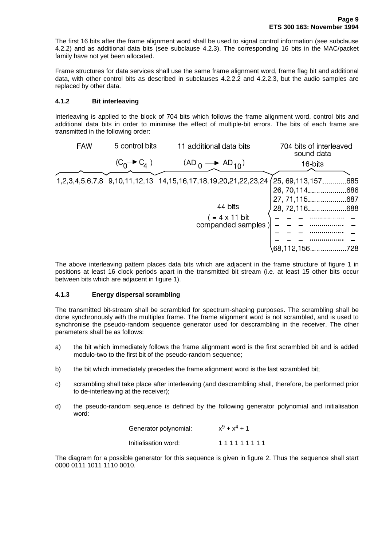The first 16 bits after the frame alignment word shall be used to signal control information (see subclause 4.2.2) and as additional data bits (see subclause 4.2.3). The corresponding 16 bits in the MAC/packet family have not yet been allocated.

Frame structures for data services shall use the same frame alignment word, frame flag bit and additional data, with other control bits as described in subclauses 4.2.2.2 and 4.2.2.3, but the audio samples are replaced by other data.

#### **4.1.2 Bit interleaving**

Interleaving is applied to the block of 704 bits which follows the frame alignment word, control bits and additional data bits in order to minimise the effect of multiple-bit errors. The bits of each frame are transmitted in the following order:

| <b>FAW</b> | 5 control bits          | 11 additional data bits                                        | 704 bits of interleaved<br>sound data |  |  |  |  |
|------------|-------------------------|----------------------------------------------------------------|---------------------------------------|--|--|--|--|
|            | $(C_0 \rightarrow C_4)$ | $(AD_0 \rightarrow AD_{10})$                                   | 16-bits                               |  |  |  |  |
|            |                         |                                                                |                                       |  |  |  |  |
|            |                         | 1,2,3,4,5,6,7,8 9,10,11,12,13 14,15,16,17,18,19,20,21,22,23,24 | 25, 69, 113, 157685                   |  |  |  |  |
|            |                         |                                                                | 26, 70, 114686                        |  |  |  |  |
|            |                         |                                                                | 27, 71, 115687                        |  |  |  |  |
|            |                         | 44 bits                                                        |                                       |  |  |  |  |
|            |                         | ( = 4 x 11 bit                                                 |                                       |  |  |  |  |
|            |                         | companded samples                                              |                                       |  |  |  |  |
|            |                         |                                                                |                                       |  |  |  |  |
|            |                         |                                                                |                                       |  |  |  |  |
|            |                         |                                                                | .68,112,156728                        |  |  |  |  |

The above interleaving pattern places data bits which are adjacent in the frame structure of figure 1 in positions at least 16 clock periods apart in the transmitted bit stream (i.e. at least 15 other bits occur between bits which are adjacent in figure 1).

#### **4.1.3 Energy dispersal scrambling**

The transmitted bit-stream shall be scrambled for spectrum-shaping purposes. The scrambling shall be done synchronously with the multiplex frame. The frame alignment word is not scrambled, and is used to synchronise the pseudo-random sequence generator used for descrambling in the receiver. The other parameters shall be as follows:

- a) the bit which immediately follows the frame alignment word is the first scrambled bit and is added modulo-two to the first bit of the pseudo-random sequence;
- b) the bit which immediately precedes the frame alignment word is the last scrambled bit;
- c) scrambling shall take place after interleaving (and descrambling shall, therefore, be performed prior to de-interleaving at the receiver);
- d) the pseudo-random sequence is defined by the following generator polynomial and initialisation word:

| Generator polynomial: | $x^9 + x^4 + 1$ |
|-----------------------|-----------------|
| Initialisation word:  | 111111111       |

The diagram for a possible generator for this sequence is given in figure 2. Thus the sequence shall start 0000 0111 1011 1110 0010.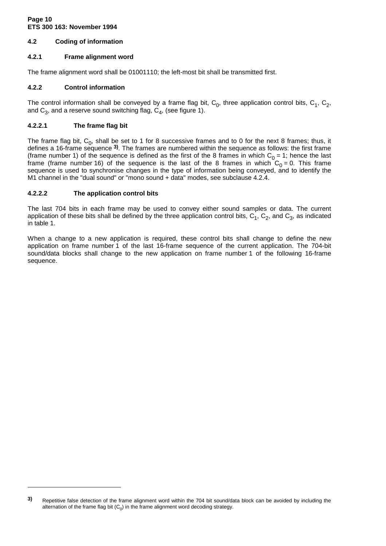## **Page 10 ETS 300 163: November 1994**

#### **4.2 Coding of information**

#### **4.2.1 Frame alignment word**

The frame alignment word shall be 01001110; the left-most bit shall be transmitted first.

#### **4.2.2 Control information**

The control information shall be conveyed by a frame flag bit,  $C_0$ , three application control bits,  $C_1$ ,  $C_2$ , and  $\textsf{C}_3$ , and a reserve sound switching flag,  $\textsf{C}_4$ , (see figure 1).

#### **4.2.2.1 The frame flag bit**

 $\overline{a}$ 

The frame flag bit,  $C_0$ , shall be set to 1 for 8 successive frames and to 0 for the next 8 frames; thus, it defines a 16-frame sequence **3)**. The frames are numbered within the sequence as follows: the first frame (frame number 1) of the sequence is defined as the first of the 8 frames in which  $C_0 = 1$ ; hence the last frame (frame number 16) of the sequence is the last of the 8 frames in which  $C_0 = 0$ . This frame sequence is used to synchronise changes in the type of information being conveyed, and to identify the M1 channel in the "dual sound" or "mono sound + data" modes, see subclause 4.2.4.

#### **4.2.2.2 The application control bits**

The last 704 bits in each frame may be used to convey either sound samples or data. The current application of these bits shall be defined by the three application control bits,  $C_1$ ,  $C_2$ , and  $C_3$ , as indicated in table 1.

When a change to a new application is required, these control bits shall change to define the new application on frame number 1 of the last 16-frame sequence of the current application. The 704-bit sound/data blocks shall change to the new application on frame number 1 of the following 16-frame sequence.

**<sup>3)</sup>** Repetitive false detection of the frame alignment word within the 704 bit sound/data block can be avoided by including the alternation of the frame flag bit  $(C_0)$  in the frame alignment word decoding strategy.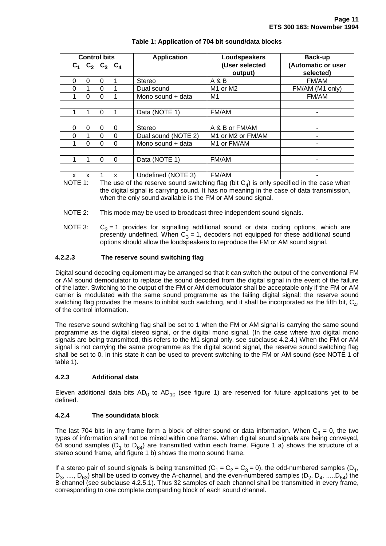|          | <b>Control bits</b>                                                                                                                                                                                                                                     |             |          | <b>Application</b>                                                  | Loudspeakers      | Back-up            |  |  |
|----------|---------------------------------------------------------------------------------------------------------------------------------------------------------------------------------------------------------------------------------------------------------|-------------|----------|---------------------------------------------------------------------|-------------------|--------------------|--|--|
|          | $C_1$ $C_2$ $C_3$ $C_4$                                                                                                                                                                                                                                 |             |          |                                                                     | (User selected    | (Automatic or user |  |  |
|          |                                                                                                                                                                                                                                                         |             |          |                                                                     | output)           | selected)          |  |  |
| 0        | 0                                                                                                                                                                                                                                                       | 0           | 1        | Stereo                                                              | A & B             | FM/AM              |  |  |
| 0        | 1                                                                                                                                                                                                                                                       | $\Omega$    | 1        | Dual sound                                                          | M1 or M2          | FM/AM (M1 only)    |  |  |
| 1        | $\Omega$                                                                                                                                                                                                                                                | $\Omega$    | 1        | Mono sound + data                                                   | M <sub>1</sub>    | FM/AM              |  |  |
|          |                                                                                                                                                                                                                                                         |             |          |                                                                     |                   |                    |  |  |
| 1        |                                                                                                                                                                                                                                                         | $\Omega$    | 1        | Data (NOTE 1)                                                       | FM/AM             |                    |  |  |
|          |                                                                                                                                                                                                                                                         |             |          |                                                                     |                   |                    |  |  |
| 0        | 0                                                                                                                                                                                                                                                       | 0           | 0        | Stereo                                                              | A & B or FM/AM    |                    |  |  |
| $\Omega$ | 1                                                                                                                                                                                                                                                       | $\Omega$    | 0        | Dual sound (NOTE 2)                                                 | M1 or M2 or FM/AM |                    |  |  |
| 1        | $\Omega$                                                                                                                                                                                                                                                | $\Omega$    | $\Omega$ | Mono sound + data                                                   | M1 or FM/AM       |                    |  |  |
|          |                                                                                                                                                                                                                                                         |             |          |                                                                     |                   |                    |  |  |
| 1        |                                                                                                                                                                                                                                                         | 0           | 0        | Data (NOTE 1)                                                       | FM/AM             |                    |  |  |
|          |                                                                                                                                                                                                                                                         |             |          |                                                                     |                   |                    |  |  |
| X        | X                                                                                                                                                                                                                                                       | $\mathbf 1$ | X        | Undefined (NOTE 3)                                                  | FM/AM             |                    |  |  |
| NOTE 1:  | The use of the reserve sound switching flag (bit $C_4$ ) is only specified in the case when<br>the digital signal is carrying sound. It has no meaning in the case of data transmission,<br>when the only sound available is the FM or AM sound signal. |             |          |                                                                     |                   |                    |  |  |
| NOTE 2:  |                                                                                                                                                                                                                                                         |             |          | This mode may be used to broadcast three independent sound signals. |                   |                    |  |  |

#### **Table 1: Application of 704 bit sound/data blocks**

NOTE 3:  $C_3 = 1$  provides for signalling additional sound or data coding options, which are presently undefined. When  $C_3 = 1$ , decoders not equipped for these additional sound options should allow the loudspeakers to reproduce the FM or AM sound signal.

#### **4.2.2.3 The reserve sound switching flag**

Digital sound decoding equipment may be arranged so that it can switch the output of the conventional FM or AM sound demodulator to replace the sound decoded from the digital signal in the event of the failure of the latter. Switching to the output of the FM or AM demodulator shall be acceptable only if the FM or AM carrier is modulated with the same sound programme as the failing digital signal: the reserve sound switching flag provides the means to inhibit such switching, and it shall be incorporated as the fifth bit,  $C_4$ , of the control information.

The reserve sound switching flag shall be set to 1 when the FM or AM signal is carrying the same sound programme as the digital stereo signal, or the digital mono signal. (In the case where two digital mono signals are being transmitted, this refers to the M1 signal only, see subclause 4.2.4.) When the FM or AM signal is not carrying the same programme as the digital sound signal, the reserve sound switching flag shall be set to 0. In this state it can be used to prevent switching to the FM or AM sound (see NOTE 1 of table 1).

#### **4.2.3 Additional data**

Eleven additional data bits  $AD_0$  to  $AD_{10}$  (see figure 1) are reserved for future applications yet to be defined.

#### **4.2.4 The sound/data block**

The last 704 bits in any frame form a block of either sound or data information. When  $C_3 = 0$ , the two types of information shall not be mixed within one frame. When digital sound signals are being conveyed, 64 sound samples ( $D_1$  to  $D_{64}$ ) are transmitted within each frame. Figure 1 a) shows the structure of a stereo sound frame, and figure 1 b) shows the mono sound frame.

If a stereo pair of sound signals is being transmitted ( $C_1 = C_2 = C_3 = 0$ ), the odd-numbered samples (D<sub>1</sub>,  $D_3$ , ....,  $D_{63}$ ) shall be used to convey the A-channel, and the even-numbered samples ( $D_2$ ,  $D_4$ , ...., $D_{64}$ ) the B-channel (see subclause 4.2.5.1). Thus 32 samples of each channel shall be transmitted in every frame, corresponding to one complete companding block of each sound channel.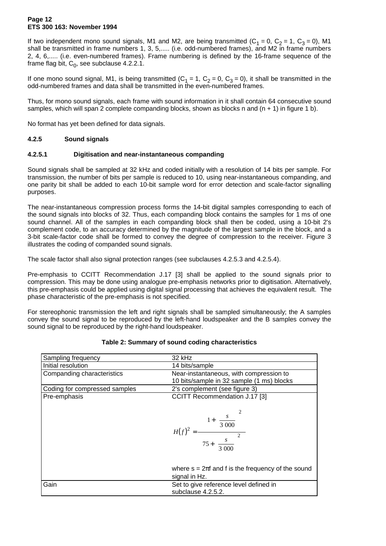#### **Page 12 ETS 300 163: November 1994**

If two independent mono sound signals, M1 and M2, are being transmitted ( $C_1 = 0$ ,  $C_2 = 1$ ,  $C_3 = 0$ ), M1 shall be transmitted in frame numbers 1, 3, 5,..... (i.e. odd-numbered frames), and M2 in frame numbers 2, 4, 6,..... (i.e. even-numbered frames). Frame numbering is defined by the 16-frame sequence of the frame flag bit,  $C_0$ , see subclause 4.2.2.1.

If one mono sound signal, M1, is being transmitted ( $C_1 = 1$ ,  $C_2 = 0$ ,  $C_3 = 0$ ), it shall be transmitted in the odd-numbered frames and data shall be transmitted in the even-numbered frames.

Thus, for mono sound signals, each frame with sound information in it shall contain 64 consecutive sound samples, which will span 2 complete companding blocks, shown as blocks n and (n + 1) in figure 1 b).

No format has yet been defined for data signals.

#### **4.2.5 Sound signals**

#### **4.2.5.1 Digitisation and near-instantaneous companding**

Sound signals shall be sampled at 32 kHz and coded initially with a resolution of 14 bits per sample. For transmission, the number of bits per sample is reduced to 10, using near-instantaneous companding, and one parity bit shall be added to each 10-bit sample word for error detection and scale-factor signalling purposes.

The near-instantaneous compression process forms the 14-bit digital samples corresponding to each of the sound signals into blocks of 32. Thus, each companding block contains the samples for 1 ms of one sound channel. All of the samples in each companding block shall then be coded, using a 10-bit 2's complement code, to an accuracy determined by the magnitude of the largest sample in the block, and a 3-bit scale-factor code shall be formed to convey the degree of compression to the receiver. Figure 3 illustrates the coding of companded sound signals.

The scale factor shall also signal protection ranges (see subclauses 4.2.5.3 and 4.2.5.4).

Pre-emphasis to CCITT Recommendation J.17 [3] shall be applied to the sound signals prior to compression. This may be done using analogue pre-emphasis networks prior to digitisation. Alternatively, this pre-emphasis could be applied using digital signal processing that achieves the equivalent result. The phase characteristic of the pre-emphasis is not specified.

For stereophonic transmission the left and right signals shall be sampled simultaneously; the A samples convey the sound signal to be reproduced by the left-hand loudspeaker and the B samples convey the sound signal to be reproduced by the right-hand loudspeaker.

| Sampling frequency            | 32 kHz                                                                                                                    |
|-------------------------------|---------------------------------------------------------------------------------------------------------------------------|
| Initial resolution            | 14 bits/sample                                                                                                            |
| Companding characteristics    | Near-instantaneous, with compression to<br>10 bits/sample in 32 sample (1 ms) blocks                                      |
| Coding for compressed samples | 2's complement (see figure 3)                                                                                             |
| Pre-emphasis                  | CCITT Recommendation J.17 [3]                                                                                             |
|                               | $H(f)^{2} = \frac{\left[1 + \left(\frac{s}{3.000}\right)^{2}\right]}{\left[75 + \left(\frac{s}{3.000}\right)^{2}\right]}$ |
|                               | where $s = 2\pi f$ and f is the frequency of the sound<br>signal in Hz.                                                   |
| Gain                          | Set to give reference level defined in<br>subclause 4.2.5.2.                                                              |

#### **Table 2: Summary of sound coding characteristics**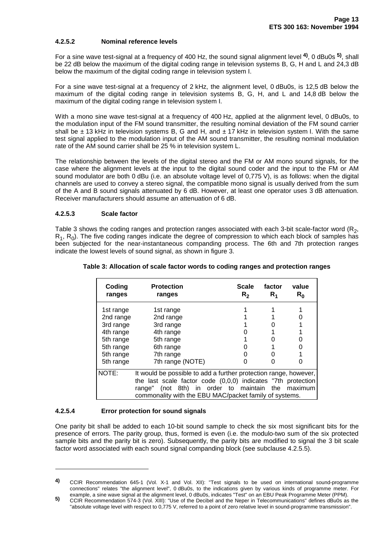#### **4.2.5.2 Nominal reference levels**

For a sine wave test-signal at a frequency of 400 Hz, the sound signal alignment level **4)**, 0 dBu0s **5)**, shall be 22 dB below the maximum of the digital coding range in television systems B, G, H and L and 24,3 dB below the maximum of the digital coding range in television system I.

For a sine wave test-signal at a frequency of 2 kHz, the alignment level, 0 dBu0s, is 12,5 dB below the maximum of the digital coding range in television systems B, G, H, and L and 14,8 dB below the maximum of the digital coding range in television system I.

With a mono sine wave test-signal at a frequency of 400 Hz, applied at the alignment level, 0 dBu0s, to the modulation input of the FM sound transmitter, the resulting nominal deviation of the FM sound carrier shall be  $\pm$  13 kHz in television systems B, G and H, and  $\pm$  17 kHz in television system I. With the same test signal applied to the modulation input of the AM sound transmitter, the resulting nominal modulation rate of the AM sound carrier shall be 25 % in television system L.

The relationship between the levels of the digital stereo and the FM or AM mono sound signals, for the case where the alignment levels at the input to the digital sound coder and the input to the FM or AM sound modulator are both 0 dBu (i.e. an absolute voltage level of 0,775 V), is as follows: when the digital channels are used to convey a stereo signal, the compatible mono signal is usually derived from the sum of the A and B sound signals attenuated by 6 dB. However, at least one operator uses 3 dB attenuation. Receiver manufacturers should assume an attenuation of 6 dB.

#### **4.2.5.3 Scale factor**

Table 3 shows the coding ranges and protection ranges associated with each 3-bit scale-factor word ( $R<sub>2</sub>$ ,  $R_1$ ,  $R_0$ ). The five coding ranges indicate the degree of compression to which each block of samples has been subjected for the near-instantaneous companding process. The 6th and 7th protection ranges indicate the lowest levels of sound signal, as shown in figure 3.

| Coding<br>ranges | <b>Protection</b><br>ranges                                                                                                      | Scale<br>$R_{2}$ | factor<br>$R_1$ | value<br>R <sub>n</sub> |
|------------------|----------------------------------------------------------------------------------------------------------------------------------|------------------|-----------------|-------------------------|
| 1st range        | 1st range                                                                                                                        |                  |                 |                         |
| 2nd range        | 2nd range                                                                                                                        |                  |                 |                         |
| 3rd range        | 3rd range                                                                                                                        |                  |                 |                         |
| 4th range        | 4th range                                                                                                                        |                  |                 |                         |
| 5th range        | 5th range                                                                                                                        |                  |                 |                         |
| 5th range        | 6th range                                                                                                                        |                  |                 |                         |
| 5th range        | 7th range                                                                                                                        |                  |                 |                         |
| 5th range        | 7th range (NOTE)                                                                                                                 |                  |                 |                         |
| NOTE:            | It would be possible to add a further protection range, however,<br>the last scale factor code (0,0,0) indicates "7th protection |                  |                 |                         |
|                  | (not 8th) in order to maintain the maximum<br>range"<br>commonality with the EBU MAC/packet family of systems.                   |                  |                 |                         |

#### **Table 3: Allocation of scale factor words to coding ranges and protection ranges**

#### **4.2.5.4 Error protection for sound signals**

 $\overline{a}$ 

One parity bit shall be added to each 10-bit sound sample to check the six most significant bits for the presence of errors. The parity group, thus, formed is even (i.e. the modulo-two sum of the six protected sample bits and the parity bit is zero). Subsequently, the parity bits are modified to signal the 3 bit scale factor word associated with each sound signal companding block (see subclause 4.2.5.5).

**<sup>4)</sup>** CCIR Recommendation 645-1 (Vol. X-1 and Vol. XII): "Test signals to be used on international sound-programme connections" relates "the alignment level", 0 dBu0s, to the indications given by various kinds of programme meter. For example, a sine wave signal at the alignment level, 0 dBu0s, indicates "Test" on an EBU Peak Programme Meter (PPM).<br>5) CCIR Recommendation 574-3 (Vol. XIII): "Use of the Decibel and the Neper in Telecommunications" defines

<sup>&</sup>quot;absolute voltage level with respect to 0,775 V, referred to a point of zero relative level in sound-programme transmission".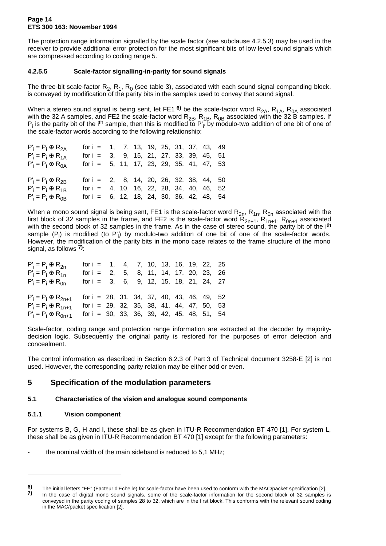#### **Page 14 ETS 300 163: November 1994**

The protection range information signalled by the scale factor (see subclause 4.2.5.3) may be used in the receiver to provide additional error protection for the most significant bits of low level sound signals which are compressed according to coding range 5.

#### **4.2.5.5 Scale-factor signalling-in-parity for sound signals**

The three-bit scale-factor  $R_2$ ,  $R_1$ ,  $R_0$  (see table 3), associated with each sound signal companding block, is conveyed by modification of the parity bits in the samples used to convey that sound signal.

When a stereo sound signal is being sent, let FE1 <sup>6</sup>) be the scale-factor word R<sub>2A</sub>, R<sub>1A</sub>, R<sub>0A</sub> associated with the 32 A samples, and FE2 the scale-factor word  $R_{2B}$ ,  $R_{1B}$ ,  $R_{0B}$  associated with the 32 B samples. If  $P_i$  is the parity bit of the i<sup>th</sup> sample, then this is modified to  $P'_i$  by modulo-two addition of one bit of one of the scale-factor words according to the following relationship:

| $P'_{i} = P_{i} \oplus R_{2A}$ | for $i = 1, 7, 13, 19, 25, 31, 37, 43, 49$  |  |  |  |  |  |
|--------------------------------|---------------------------------------------|--|--|--|--|--|
| $P'_{i} = P_{i} \oplus R_{1A}$ | for i = 3, 9, 15, 21, 27, 33, 39, 45, 51    |  |  |  |  |  |
| $P'_{i} = P_{i} \oplus R_{0A}$ | for $i = 5, 11, 17, 23, 29, 35, 41, 47, 53$ |  |  |  |  |  |
| $P'_{i} = P_{i} \oplus R_{2R}$ | for $i = 2, 8, 14, 20, 26, 32, 38, 44, 50$  |  |  |  |  |  |
|                                |                                             |  |  |  |  |  |
| $P'_{i} = P_{i} \oplus R_{1B}$ | for $i = 4, 10, 16, 22, 28, 34, 40, 46, 52$ |  |  |  |  |  |

When a mono sound signal is being sent, FE1 is the scale-factor word  $R_{2n}$ ,  $R_{1n}$ ,  $R_{0n}$  associated with the first block of 32 samples in the frame, and FE2 is the scale-factor word  $R_{2n+1}$ ,  $R_{1n+1}$ ,  $R_{0n+1}$  associated with the second block of 32 samples in the frame. As in the case of stereo sound, the parity bit of the i<sup>th</sup> sample (P<sub>i</sub>) is modified (to P'<sub>i</sub>) by modulo-two addition of one bit of one of the scale-factor words. However, the modification of the parity bits in the mono case relates to the frame structure of the mono signal, as follows **7)**:

| $P'_{i} = P_{i} \oplus R_{2n}$   | for $i = 1, 4, 7, 10, 13, 16, 19, 22, 25$  |  |  |  |  |  |
|----------------------------------|--------------------------------------------|--|--|--|--|--|
| $P'_{i} = P_{i} \oplus R_{1n}$   | for $i = 2, 5, 8, 11, 14, 17, 20, 23, 26$  |  |  |  |  |  |
| $P'_{i} = P_{i} \oplus R_{0n}$   | for i = 3, 6, 9, 12, 15, 18, 21, 24, 27    |  |  |  |  |  |
| $P'_{i} = P_{i} \oplus R_{2n+1}$ | for i = 28, 31, 34, 37, 40, 43, 46, 49, 52 |  |  |  |  |  |
| $P'_{i} = P_{i} \oplus R_{1n+1}$ | for i = 29, 32, 35, 38, 41, 44, 47, 50, 53 |  |  |  |  |  |
| $P'_{i} = P_{i} \oplus R_{0n+1}$ | for i = 30, 33, 36, 39, 42, 45, 48, 51, 54 |  |  |  |  |  |

Scale-factor, coding range and protection range information are extracted at the decoder by majoritydecision logic. Subsequently the original parity is restored for the purposes of error detection and concealment.

The control information as described in Section 6.2.3 of Part 3 of Technical document 3258-E [2] is not used. However, the corresponding parity relation may be either odd or even.

## **5 Specification of the modulation parameters**

## **5.1 Characteristics of the vision and analogue sound components**

## **5.1.1 Vision component**

l

For systems B, G, H and I, these shall be as given in ITU-R Recommendation BT 470 [1]. For system L, these shall be as given in ITU-R Recommendation BT 470 [1] except for the following parameters:

the nominal width of the main sideband is reduced to 5,1 MHz;

<sup>&</sup>lt;sup>6</sup>) The initial letters "FE" (Facteur d'Echelle) for scale-factor have been used to conform with the MAC/packet specification [2].<br><sup>7</sup>) In the case of digital mono sound signals, some of the scale-factor information for t conveyed in the parity coding of samples 28 to 32, which are in the first block. This conforms with the relevant sound coding in the MAC/packet specification [2].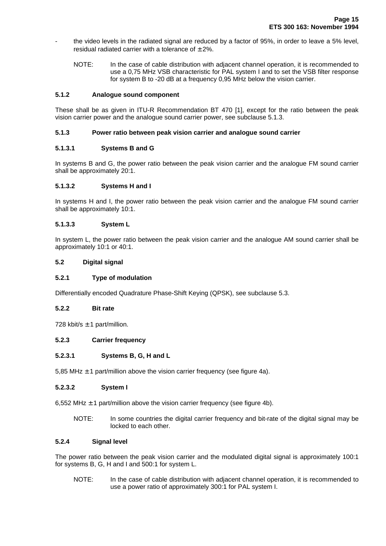- the video levels in the radiated signal are reduced by a factor of 95%, in order to leave a 5% level. residual radiated carrier with a tolerance of  $\pm$  2%.
	- NOTE: In the case of cable distribution with adjacent channel operation, it is recommended to use a 0,75 MHz VSB characteristic for PAL system I and to set the VSB filter response for system B to -20 dB at a frequency 0,95 MHz below the vision carrier.

#### **5.1.2 Analogue sound component**

These shall be as given in ITU-R Recommendation BT 470 [1], except for the ratio between the peak vision carrier power and the analogue sound carrier power, see subclause 5.1.3.

#### **5.1.3 Power ratio between peak vision carrier and analogue sound carrier**

#### **5.1.3.1 Systems B and G**

In systems B and G, the power ratio between the peak vision carrier and the analogue FM sound carrier shall be approximately 20:1.

#### **5.1.3.2 Systems H and I**

In systems H and I, the power ratio between the peak vision carrier and the analogue FM sound carrier shall be approximately 10:1.

#### **5.1.3.3 System L**

In system L, the power ratio between the peak vision carrier and the analogue AM sound carrier shall be approximately 10:1 or 40:1.

#### **5.2 Digital signal**

#### **5.2.1 Type of modulation**

Differentially encoded Quadrature Phase-Shift Keying (QPSK), see subclause 5.3.

#### **5.2.2 Bit rate**

728 kbit/s  $\pm$  1 part/million.

#### **5.2.3 Carrier frequency**

#### **5.2.3.1 Systems B, G, H and L**

5,85 MHz  $\pm$  1 part/million above the vision carrier frequency (see figure 4a).

#### **5.2.3.2 System I**

6,552 MHz  $\pm$  1 part/million above the vision carrier frequency (see figure 4b).

NOTE: In some countries the digital carrier frequency and bit-rate of the digital signal may be locked to each other.

#### **5.2.4 Signal level**

The power ratio between the peak vision carrier and the modulated digital signal is approximately 100:1 for systems B, G, H and I and 500:1 for system L.

NOTE: In the case of cable distribution with adjacent channel operation, it is recommended to use a power ratio of approximately 300:1 for PAL system I.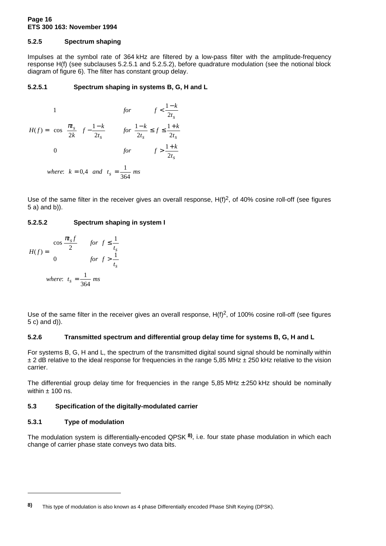#### **Page 16 ETS 300 163: November 1994**

#### **5.2.5 Spectrum shaping**

Impulses at the symbol rate of 364 kHz are filtered by a low-pass filter with the amplitude-frequency response H(f) (see subclauses 5.2.5.1 and 5.2.5.2), before quadrature modulation (see the notional block diagram of figure 6). The filter has constant group delay.

#### **5.2.5.1 Spectrum shaping in systems B, G, H and L**

$$
H(f) = \begin{cases} 1 & \text{for} & f < \frac{1-k}{2t_s} \\ \cos\left[\frac{\pi t_s}{2k} \left(f - \frac{1-k}{2t_s}\right)\right] & \text{for } \frac{1-k}{2t_s} \le f \le \frac{1+k}{2t_s} \\ 0 & \text{for} & f > \frac{1+k}{2t_s} \end{cases}
$$
  
where:  $k = 0,4$  and  $t_s = \frac{1}{364}$  ms

Use of the same filter in the receiver gives an overall response, H(f)<sup>2</sup>, of 40% cosine roll-off (see figures 5 a) and b)).

#### **5.2.5.2 Spectrum shaping in system I**

$$
H(f) = \begin{cases} \cos \frac{\pi t_s f}{2} & \text{for } f \le \frac{1}{t_s} \\ 0 & \text{for } f > \frac{1}{t_s} \end{cases}
$$
\n
$$
\text{where: } t_s = \frac{1}{364} \text{ ms}
$$

Use of the same filter in the receiver gives an overall response,  $H(f)^2$ , of 100% cosine roll-off (see figures 5 c) and d)).

#### **5.2.6 Transmitted spectrum and differential group delay time for systems B, G, H and L**

For systems B, G, H and L, the spectrum of the transmitted digital sound signal should be nominally within ± 2 dB relative to the ideal response for frequencies in the range 5,85 MHz ± 250 kHz relative to the vision carrier.

The differential group delay time for frequencies in the range  $5,85$  MHz  $\pm$  250 kHz should be nominally within  $\pm$  100 ns.

#### **5.3 Specification of the digitally-modulated carrier**

#### **5.3.1 Type of modulation**

l

The modulation system is differentially-encoded QPSK **8)**, i.e. four state phase modulation in which each change of carrier phase state conveys two data bits.

**<sup>8)</sup>** This type of modulation is also known as 4 phase Differentially encoded Phase Shift Keying (DPSK).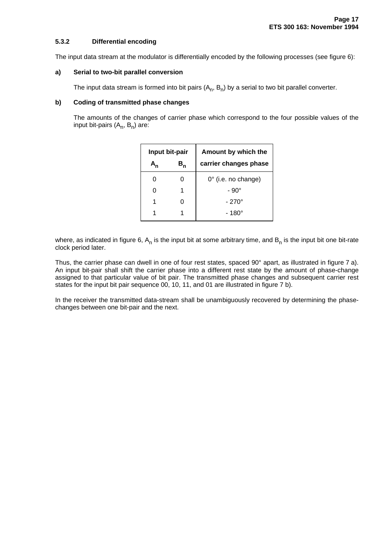#### **5.3.2 Differential encoding**

The input data stream at the modulator is differentially encoded by the following processes (see figure 6):

#### **a) Serial to two-bit parallel conversion**

The input data stream is formed into bit pairs  $(A_n, B_n)$  by a serial to two bit parallel converter.

#### **b) Coding of transmitted phase changes**

The amounts of the changes of carrier phase which correspond to the four possible values of the input bit-pairs  $(A_n, B_n)$  are:

|   | Input bit-pair            | Amount by which the          |
|---|---------------------------|------------------------------|
|   | $\mathbf{B}_{\mathbf{n}}$ | carrier changes phase        |
| O |                           | $0^{\circ}$ (i.e. no change) |
| O |                           | - 90°                        |
| 1 |                           | $-270^{\circ}$               |
| 1 |                           | - 180°                       |

where, as indicated in figure 6,  $A_n$  is the input bit at some arbitrary time, and  $B_n$  is the input bit one bit-rate clock period later.

Thus, the carrier phase can dwell in one of four rest states, spaced 90° apart, as illustrated in figure 7 a). An input bit-pair shall shift the carrier phase into a different rest state by the amount of phase-change assigned to that particular value of bit pair. The transmitted phase changes and subsequent carrier rest states for the input bit pair sequence 00, 10, 11, and 01 are illustrated in figure 7 b).

In the receiver the transmitted data-stream shall be unambiguously recovered by determining the phasechanges between one bit-pair and the next.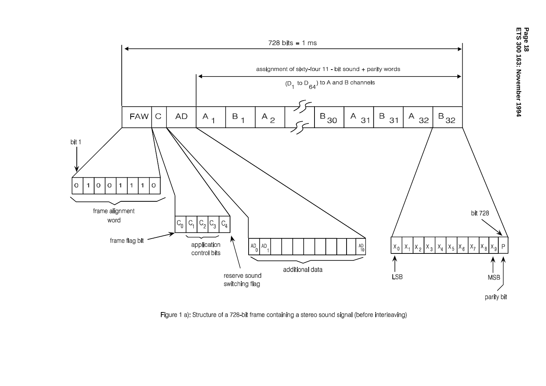**ETS 300 163: November 1994 Page 18**



Figure 1 a): Structure of a 728-bit frame containing a stereo sound signal (before interleaving)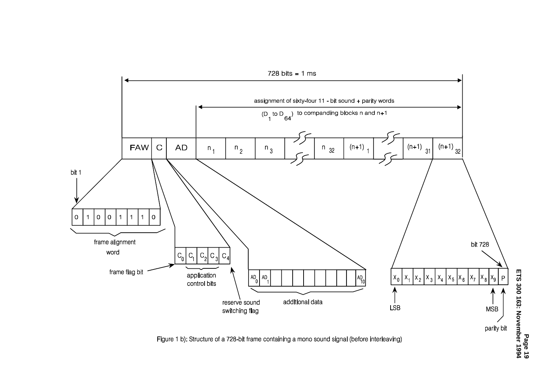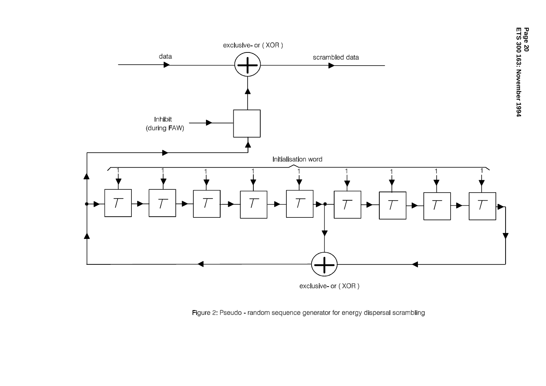exclusive- or (XOR) data scrambled data Inhibit (during FAW) Initialisation word exclusive- or (XOR)

Figure 2: Pseudo - random sequence generator for energy dispersal scrambling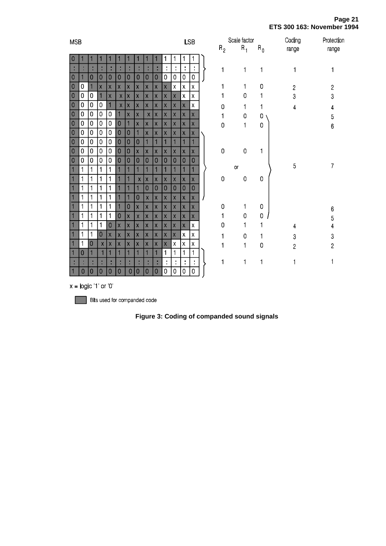**Page 21 ETS 300 163: November 1994**

| <b>MSB</b>     |             |                          |                |                           |                    |                           |                    | <b>LSB</b>              |                    |                         |                      | $R_{2}$                   | Scale factor<br>$\mathsf{R}_1$ | $R_0$ | Coding<br>range | Protection<br>range |             |                |                |
|----------------|-------------|--------------------------|----------------|---------------------------|--------------------|---------------------------|--------------------|-------------------------|--------------------|-------------------------|----------------------|---------------------------|--------------------------------|-------|-----------------|---------------------|-------------|----------------|----------------|
| $\mathbf 0$    | 1           | $\blacksquare$           | 1              | $\blacksquare$            | 1                  | 1                         | 1                  | 1                       | 1                  | 1                       | 1                    | $\mathbf{1}$              | 1                              |       |                 |                     |             |                |                |
|                | t           |                          | t              |                           |                    | I                         | t                  | t                       |                    | t                       | $\ddot{\phantom{a}}$ | $\ddot{\cdot}$            | $\blacksquare$                 |       | 1               | 1                   | 1           | 1              | 1              |
| 0              |             | $\bf{0}$                 | $\overline{0}$ | $\overline{0}$            | $\mathbf 0$        | 0                         | $\bf{0}$           | 0                       | 0                  | $\mathbf 0$             | 0                    | $\mathbf 0$               | 0                              |       |                 |                     |             |                |                |
| $\mathbf 0$    | 0           | 1                        | $\mathsf{X}$   | $\mathsf{\overline{X}}$   | X                  | $\pmb{\chi}$              | X                  | $\mathsf{X}% _{0}$      | $\pmb{\mathsf{X}}$ | $\pmb{\mathsf{X}}$      | $\pmb{\mathsf{X}}$   | $\pmb{\chi}$              | $\pmb{\mathsf{X}}$             |       | 1               | 1                   | 0           | 2              | $\overline{c}$ |
| $\mathbf 0$    | 0           | $\bf{0}$                 | $\mathbf{1}$   | $\boldsymbol{\mathsf{X}}$ | $\pmb{\mathsf{X}}$ | $\boldsymbol{\mathsf{x}}$ | $\pmb{\mathsf{X}}$ | $\mathsf{x}$            | $\pmb{\mathsf{X}}$ | $\pmb{\mathsf{X}}$      | $\mathsf{x}$         | $\boldsymbol{\mathsf{x}}$ | $\pmb{\mathsf{X}}$             |       | 1               | $\mathbf 0$         |             | 3              | 3              |
| 0              | 0           | $\bf{0}$                 | $\pmb{0}$      | $\mathbf{1}$              | $\pmb{\mathsf{X}}$ | $\pmb{\chi}$              | $\pmb{\mathsf{X}}$ | $\mathsf{X}% _{0}$      | $\pmb{\mathsf{X}}$ | $\pmb{\mathsf{X}}$      | $\pmb{\mathsf{X}}$   | $\pmb{\mathsf{X}}$        | $\pmb{\mathsf{X}}$             |       | 0               | 1                   | 1           | 4              | 4              |
| $\overline{0}$ | 0           | $\bf{0}$                 | 0              | 0                         | 1                  | $\mathsf{x}$              | $\pmb{\mathsf{X}}$ | $\pmb{\mathsf{X}}$      | $\pmb{\mathsf{X}}$ | $\pmb{\mathsf{X}}$      | $\pmb{\mathsf{X}}$   | $\pmb{\chi}$              | $\pmb{\mathsf{X}}$             |       | 1               | $\mathbf 0$         | 0           |                | 5              |
| 0              | 0           | $\bf{0}$                 | 0              | $\mathbf 0$               | $\bf{0}$           | $\mathbf{1}$              | $\pmb{\mathsf{X}}$ | $\mathsf{x}$            | $\pmb{\mathsf{X}}$ | $\pmb{\mathsf{X}}$      | $\pmb{\mathsf{X}}$   | $\pmb{\mathsf{X}}$        | $\boldsymbol{\mathsf{x}}$      |       | $\mathbf{0}$    | 1                   | $\mathbf 0$ |                | 6              |
| 0              | 0           | $\bf{0}$                 | 0              | $\mathbf 0$               | $\bf{0}$           | $\bf{0}$                  | 1                  | $\mathsf{X}$            | $\mathsf{X}$       | $\mathsf{x}$            | $\pmb{\mathsf{X}}$   | $\pmb{\mathsf{X}}$        | $\mathsf{X}$                   |       |                 |                     |             |                |                |
| $\mathbf 0$    | 0           | $\bf{0}$                 | $\mathbf 0$    | $\mathbf 0$               | $\bf{0}$           | 0                         | $\bf{0}$           | 1                       | 1                  | $\overline{\mathbf{1}}$ | 1                    | $\mathbf{1}$              | 1                              |       |                 |                     |             |                |                |
| $\mathbf 0$    | $\bf{0}$    | $\bf{0}$                 | $\mathbf 0$    | $\mathbf 0$               | $\bf{0}$           | $\mathbf 0$               | $\pmb{\mathsf{X}}$ | $\overline{\mathsf{x}}$ | $\mathsf{X}$       | $\pmb{\mathsf{X}}$      | $\mathsf{X}$         | $\pmb{\mathsf{X}}$        | $\boldsymbol{\mathsf{X}}$      |       | $\mathbf 0$     | $\mathbf 0$         | 1           |                |                |
| 0              | $\bf{0}$    | $\bf{0}$                 | $\mathbf 0$    | $\mathbf 0$               | $\bf{0}$           | 0                         | $\bf{0}$           | 0                       | 0                  | 0                       | $\mathbf 0$          | $\mathbf 0$               | 0                              |       |                 |                     |             |                |                |
| ۴              | 1           | 1                        | 1              | 1                         | 1                  | $\overline{1}$            | 1                  | $\blacksquare$          | 1                  | 1                       | 1                    | $\mathbf{1}$              |                                |       |                 | or                  |             | 5              | 7              |
|                | 1           | $\mathbf{1}$             | $\mathbf{1}$   | 1                         | 1                  | 1                         | $\mathsf{X}$       | $\pmb{\mathsf{X}}$      | $\mathsf{X}$       | $\mathsf{x}$            | $\mathsf{X}$         | $\boldsymbol{\mathsf{x}}$ | $\boldsymbol{\mathsf{X}}$      |       | $\mathbf 0$     | $\mathbf 0$         | $\mathbf 0$ |                |                |
|                | 1           | $\overline{\phantom{a}}$ | 1              | $\mathbf{1}$              | 1                  | 1                         | 1                  | 0                       | 0                  | 0                       | 0                    | 0                         | 0                              |       |                 |                     |             |                |                |
|                | 1           | $\mathbf{1}$             | $\mathbf{1}$   | $\mathbf{1}$              | 1                  | $\blacksquare$            | $\bf{0}$           | $\overline{\mathsf{x}}$ | $\pmb{\mathsf{X}}$ | $\bar{\mathsf{X}}$      | $\pmb{\mathsf{X}}$   | $\bar{\mathbf{X}}$        | $\pmb{\mathsf{X}}$             |       |                 |                     |             |                |                |
|                | 1           | 1                        | 1              | $\mathbf{1}$              | 1                  | 0                         | $\pmb{\mathsf{X}}$ | $\pmb{\mathsf{X}}$      | $\pmb{\mathsf{X}}$ | $\pmb{\mathsf{X}}$      | $\pmb{\mathsf{X}}$   | $\pmb{\chi}$              | $\mathsf{x}$                   |       | $\mathbf 0$     | 1                   | $\bf{0}$    |                | 6              |
|                | 1           | 1                        | $\mathbf{1}$   | $\mathbf{1}$              | $\bf{0}$           | $\pmb{\chi}$              | $\mathsf{X}$       | $\overline{\mathsf{x}}$ | $\pmb{\mathsf{X}}$ | $\pmb{\mathsf{X}}$      | $\pmb{\mathsf{X}}$   | $\pmb{\chi}$              | $\pmb{\mathsf{X}}$             |       | 1               | $\mathbf 0$         | $\bf{0}$    |                | 5              |
|                | 1           | 1                        | 1              | $\mathbf 0$               | $\pmb{\mathsf{X}}$ | $\pmb{\mathsf{X}}$        | $\pmb{\mathsf{X}}$ | $\pmb{\mathsf{X}}$      | $\pmb{\mathsf{X}}$ | $\pmb{\mathsf{X}}$      | $\pmb{\mathsf{X}}$   | $\pmb{\mathsf{X}}$        | $\pmb{\mathsf{X}}$             |       | 0               | 1                   | 1           | 4              | 4              |
|                | 1           | $\mathbf{1}$             | $\bf{0}$       | $\pmb{\mathsf{X}}$        | X                  | $\pmb{\mathsf{X}}$        | $\pmb{\mathsf{X}}$ | $\pmb{\mathsf{X}}$      | $\mathsf{X}$       | $\pmb{\mathsf{X}}$      | Χ                    | $\pmb{\mathsf{X}}$        | $\pmb{\mathsf{X}}$             |       | 1               | $\mathbf 0$         | 1           | 3              | 3              |
|                | 1           | $\bf{0}$                 | $\mathsf{X}$   | $\mathsf{\chi}$           | $\mathsf{X}$       | $\pmb{\chi}$              | $\pmb{\mathsf{X}}$ | $\bar{\mathbf{X}}$      | $\pmb{\mathsf{X}}$ | $\pmb{\mathsf{X}}$      | $\pmb{\mathsf{X}}$   | $\bar{\mathbf{X}}$        | $\pmb{\mathsf{X}}$             |       | 1               | 1                   | $\mathbf 0$ | $\overline{2}$ | $\overline{2}$ |
|                | $\bf{0}$    | 1                        | $\blacksquare$ | $\blacksquare$            | 1                  | $\mathbf{1}$              | 1                  | 1                       | 1                  | 1                       | 1                    | 1                         | 1                              |       |                 |                     |             |                |                |
|                | ı           |                          | t              |                           |                    | ı                         |                    | Ì                       |                    | t                       | t                    | t                         |                                |       | 1               | 1                   | 1           | 1              | 1              |
|                | $\mathbf 0$ | $\bf{0}$                 | $\mathbf 0$    | $\mathbf 0$               | $\mathbf 0$        | 0                         | 0                  | 0                       | 0                  | 0                       | 0                    | 0                         | 0                              |       |                 |                     |             |                |                |

 $x = logic '1' or '0'$ 

**Bits used for companded code** 

**Figure 3: Coding of companded sound signals**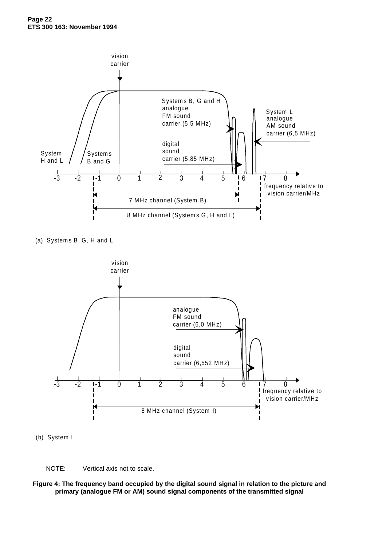

(a) Systems B, G, H and L



(b) System I

NOTE: Vertical axis not to scale.

**Figure 4: The frequency band occupied by the digital sound signal in relation to the picture and primary (analogue FM or AM) sound signal components of the transmitted signal**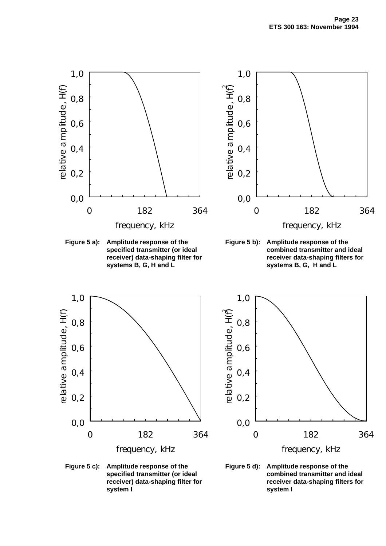

**system I**

**system I**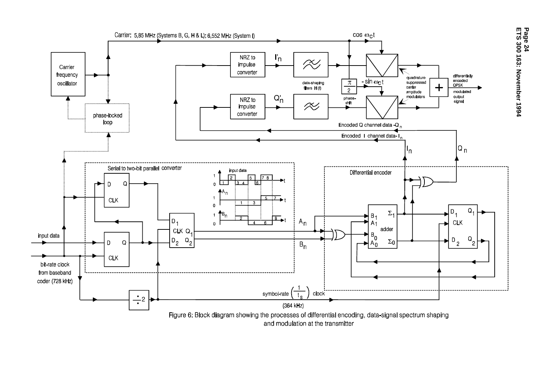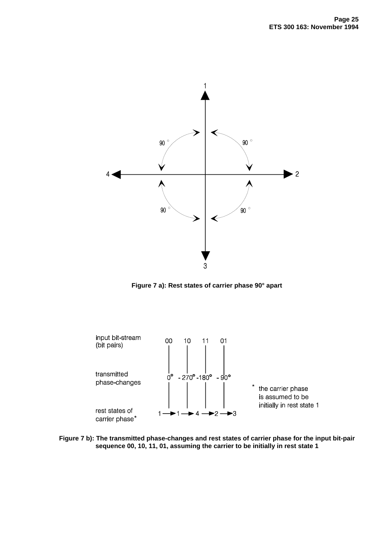

**Figure 7 a): Rest states of carrier phase 90° apart**



**Figure 7 b): The transmitted phase-changes and rest states of carrier phase for the input bit-pair sequence 00, 10, 11, 01, assuming the carrier to be initially in rest state 1**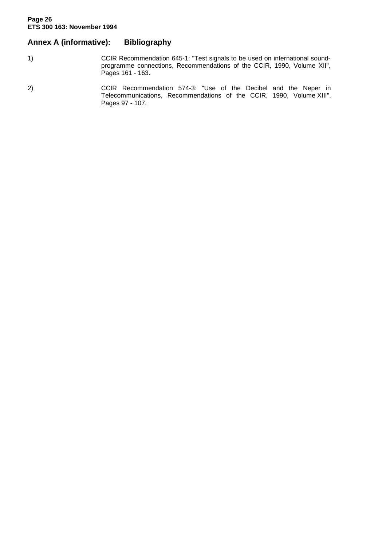## **Annex A (informative): Bibliography**

- 1) CCIR Recommendation 645-1: "Test signals to be used on international soundprogramme connections, Recommendations of the CCIR, 1990, Volume XII", Pages 161 - 163.
- 2) CCIR Recommendation 574-3: "Use of the Decibel and the Neper in Telecommunications, Recommendations of the CCIR, 1990, Volume XIII", Pages 97 - 107.